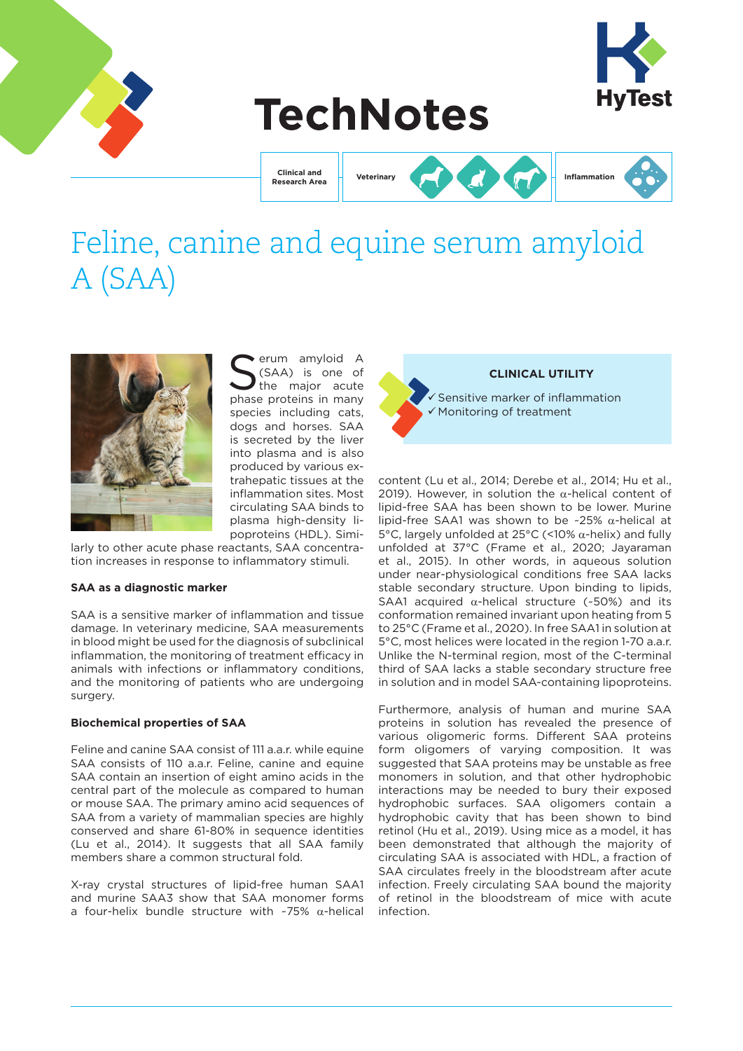

# **TechNotes**

**Clinical and Research Area**

**Veterinary Inflammation**

# Feline, canine and equine serum amyloid A (SAA)



Serum amyloid A<br>Served the major acute<br>Served protoins in many (SAA) is one of the major acute phase proteins in many species including cats, dogs and horses. SAA is secreted by the liver into plasma and is also produced by various extrahepatic tissues at the inflammation sites. Most circulating SAA binds to plasma high-density lipoproteins (HDL). Simi-

larly to other acute phase reactants, SAA concentration increases in response to inflammatory stimuli.

#### **SAA as a diagnostic marker**

SAA is a sensitive marker of inflammation and tissue damage. In veterinary medicine, SAA measurements in blood might be used for the diagnosis of subclinical inflammation, the monitoring of treatment efficacy in animals with infections or inflammatory conditions, and the monitoring of patients who are undergoing surgery.

# **Biochemical properties of SAA**

Feline and canine SAA consist of 111 a.a.r. while equine SAA consists of 110 a.a.r. Feline, canine and equine SAA contain an insertion of eight amino acids in the central part of the molecule as compared to human or mouse SAA. The primary amino acid sequences of SAA from a variety of mammalian species are highly conserved and share 61-80% in sequence identities (Lu et al., 2014). It suggests that all SAA family members share a common structural fold.

X-ray crystal structures of lipid-free human SAA1 and murine SAA3 show that SAA monomer forms a four-helix bundle structure with ~75% α-helical



content (Lu et al., 2014; Derebe et al., 2014; Hu et al., 2019). However, in solution the  $α$ -helical content of lipid-free SAA has been shown to be lower. Murine lipid-free SAA1 was shown to be ~25% α-helical at 5°C, largely unfolded at 25°C (<10% α-helix) and fully unfolded at 37°C (Frame et al., 2020; Jayaraman et al., 2015). In other words, in aqueous solution under near-physiological conditions free SAA lacks stable secondary structure. Upon binding to lipids, SAA1 acquired  $\alpha$ -helical structure (~50%) and its conformation remained invariant upon heating from 5 to 25°C (Frame et al., 2020). In free SAA1 in solution at 5°C, most helices were located in the region 1-70 a.a.r. Unlike the N-terminal region, most of the C-terminal third of SAA lacks a stable secondary structure free in solution and in model SAA-containing lipoproteins.

Furthermore, analysis of human and murine SAA proteins in solution has revealed the presence of various oligomeric forms. Different SAA proteins form oligomers of varying composition. It was suggested that SAA proteins may be unstable as free monomers in solution, and that other hydrophobic interactions may be needed to bury their exposed hydrophobic surfaces. SAA oligomers contain a hydrophobic cavity that has been shown to bind retinol (Hu et al., 2019). Using mice as a model, it has been demonstrated that although the majority of circulating SAA is associated with HDL, a fraction of SAA circulates freely in the bloodstream after acute infection. Freely circulating SAA bound the majority of retinol in the bloodstream of mice with acute infection.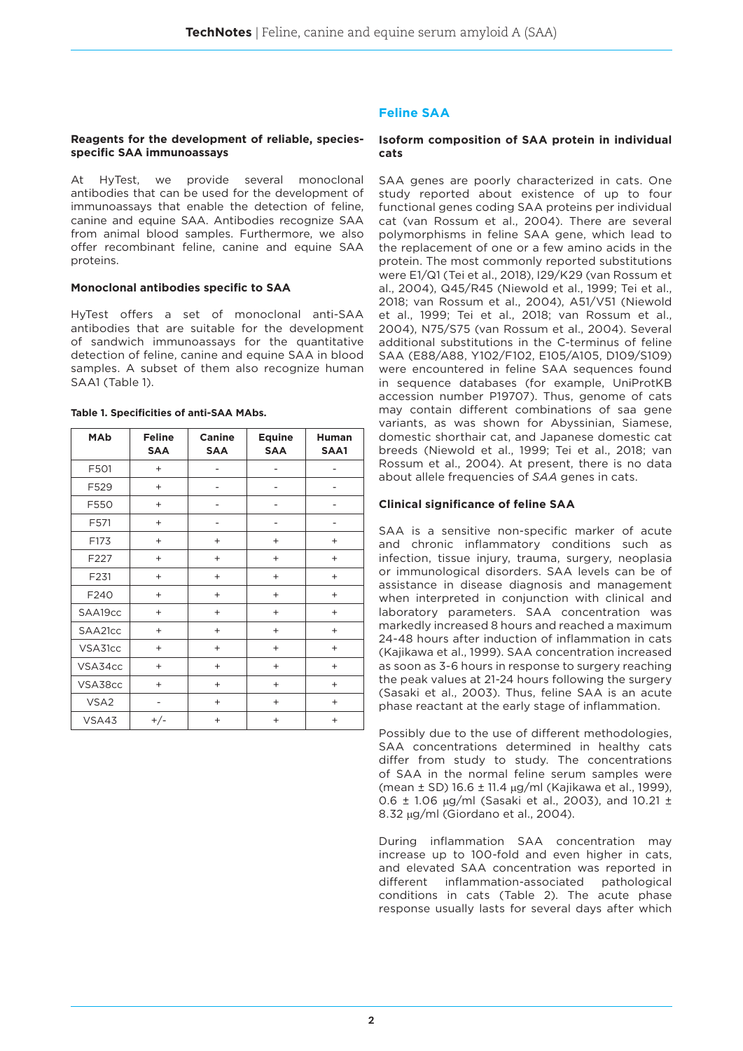#### **Reagents for the development of reliable, speciesspecific SAA immunoassays**

At HyTest, we provide several monoclonal antibodies that can be used for the development of immunoassays that enable the detection of feline, canine and equine SAA. Antibodies recognize SAA from animal blood samples. Furthermore, we also offer recombinant feline, canine and equine SAA proteins.

#### **Monoclonal antibodies specific to SAA**

HyTest offers a set of monoclonal anti-SAA antibodies that are suitable for the development of sandwich immunoassays for the quantitative detection of feline, canine and equine SAA in blood samples. A subset of them also recognize human SAA1 (Table 1).

| <b>MAb</b>       | <b>Feline</b><br><b>SAA</b> | <b>Canine</b><br><b>SAA</b> | <b>Equine</b><br><b>SAA</b>      | <b>Human</b><br>SAA1             |
|------------------|-----------------------------|-----------------------------|----------------------------------|----------------------------------|
| F501             | $+$                         |                             |                                  |                                  |
| F529             | $^{+}$                      |                             |                                  |                                  |
| F550             | $\ddot{}$                   | -                           | -                                | $\overline{a}$                   |
| F571             | $^{+}$                      |                             | -                                | -                                |
| F173             | $\ddot{}$                   | $^{+}$                      | $\ddot{}$                        | $\ddot{}$                        |
| F227             | $\ddot{}$                   | $^{+}$                      | $^{+}$                           | $+$                              |
| F231             | $\ddot{}$                   | $^{+}$                      | $^{+}$                           | $+$                              |
| F240             | $\ddot{}$                   | $^{+}$                      | $\ddot{}$                        | $\ddot{}$                        |
| SAA19cc          | $\ddot{}$                   | $\ddot{}$                   | $\ddot{}$                        | $\ddot{}$                        |
| SAA21cc          | $\ddot{}$                   | $^{+}$                      | $^{+}$                           | $+$                              |
| VSA31cc          | $\ddot{}$                   | $^{+}$                      | $\ddot{}$                        | $^{+}$                           |
| VSA34cc          | $\ddot{}$                   | $^{+}$                      | $\ddot{}$                        | $^{+}$                           |
| VSA38cc          | $^{+}$                      | $+$                         | $^{+}$                           | $+$                              |
| VSA <sub>2</sub> | -                           | $^{+}$                      | $^{+}$                           | $^{+}$                           |
| VSA43            | $+/-$                       | $\ddot{}$                   | $\begin{array}{c} + \end{array}$ | $\begin{array}{c} + \end{array}$ |

#### **Table 1. Specificities of anti-SAA MAbs.**

## **Feline SAA**

#### **Isoform composition of SAA protein in individual cats**

SAA genes are poorly characterized in cats. One study reported about existence of up to four functional genes coding SAA proteins per individual cat (van Rossum et al., 2004). There are several polymorphisms in feline SAA gene, which lead to the replacement of one or a few amino acids in the protein. The most commonly reported substitutions were E1/Q1 (Tei et al., 2018), I29/K29 (van Rossum et al., 2004), Q45/R45 (Niewold et al., 1999; Tei et al., 2018; van Rossum et al., 2004), A51/V51 (Niewold et al., 1999; Tei et al., 2018; van Rossum et al., 2004), N75/S75 (van Rossum et al., 2004). Several additional substitutions in the C-terminus of feline SAA (E88/A88, Y102/F102, E105/A105, D109/S109) were encountered in feline SAA sequences found in sequence databases (for example, UniProtKB accession number P19707). Thus, genome of cats may contain different combinations of saa gene variants, as was shown for Abyssinian, Siamese, domestic shorthair cat, and Japanese domestic cat breeds (Niewold et al., 1999; Tei et al., 2018; van Rossum et al., 2004). At present, there is no data about allele frequencies of *SAA* genes in cats.

#### **Clinical significance of feline SAA**

SAA is a sensitive non-specific marker of acute and chronic inflammatory conditions such as infection, tissue injury, trauma, surgery, neoplasia or immunological disorders. SAA levels can be of assistance in disease diagnosis and management when interpreted in conjunction with clinical and laboratory parameters. SAA concentration was markedly increased 8 hours and reached a maximum 24-48 hours after induction of inflammation in cats (Kajikawa et al., 1999). SAA concentration increased as soon as 3-6 hours in response to surgery reaching the peak values at 21-24 hours following the surgery (Sasaki et al., 2003). Thus, feline SAA is an acute phase reactant at the early stage of inflammation.

Possibly due to the use of different methodologies, SAA concentrations determined in healthy cats differ from study to study. The concentrations of SAA in the normal feline serum samples were (mean ± SD) 16.6 ± 11.4 µg/ml (Kajikawa et al., 1999), 0.6 ± 1.06 µg/ml (Sasaki et al., 2003), and 10.21 ± 8.32 µg/ml (Giordano et al., 2004).

During inflammation SAA concentration may increase up to 100-fold and even higher in cats, and elevated SAA concentration was reported in different inflammation-associated pathological conditions in cats (Table 2). The acute phase response usually lasts for several days after which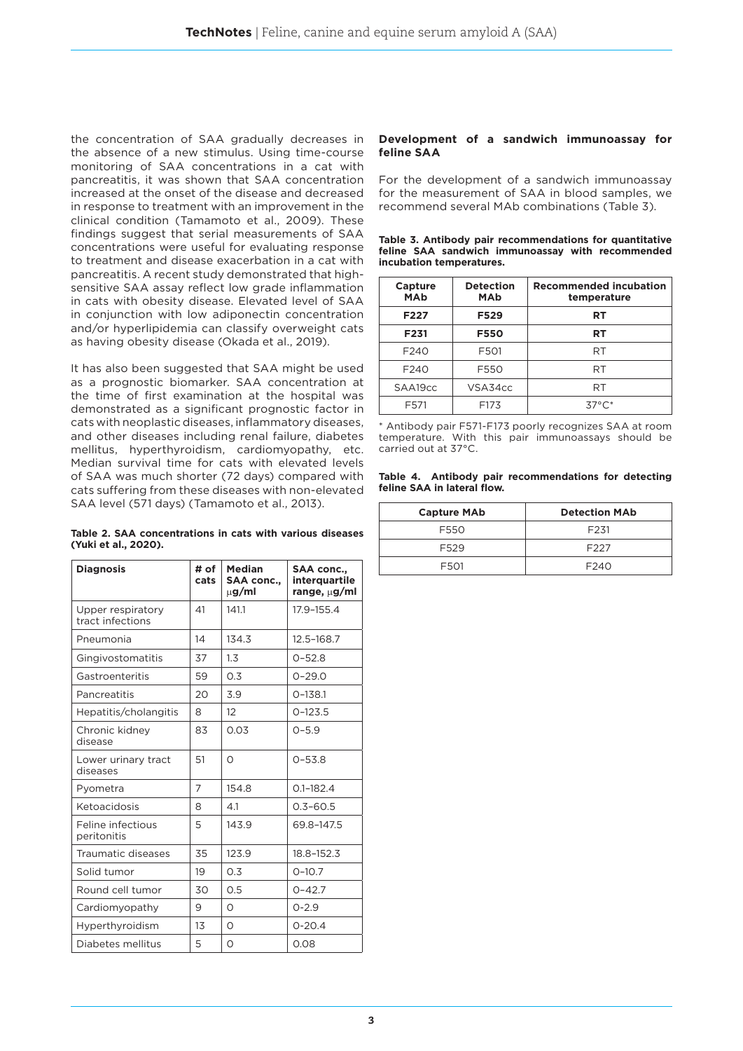the concentration of SAA gradually decreases in the absence of a new stimulus. Using time-course monitoring of SAA concentrations in a cat with pancreatitis, it was shown that SAA concentration increased at the onset of the disease and decreased in response to treatment with an improvement in the clinical condition (Tamamoto et al., 2009). These findings suggest that serial measurements of SAA concentrations were useful for evaluating response to treatment and disease exacerbation in a cat with pancreatitis. A recent study demonstrated that highsensitive SAA assay reflect low grade inflammation in cats with obesity disease. Elevated level of SAA in conjunction with low adiponectin concentration and/or hyperlipidemia can classify overweight cats as having obesity disease (Okada et al., 2019).

It has also been suggested that SAA might be used as a prognostic biomarker. SAA concentration at the time of first examination at the hospital was demonstrated as a significant prognostic factor in cats with neoplastic diseases, inflammatory diseases, and other diseases including renal failure, diabetes mellitus, hyperthyroidism, cardiomyopathy, etc. Median survival time for cats with elevated levels of SAA was much shorter (72 days) compared with cats suffering from these diseases with non-elevated SAA level (571 days) (Tamamoto et al., 2013).

|                      |  | Table 2. SAA concentrations in cats with various diseases |  |  |  |
|----------------------|--|-----------------------------------------------------------|--|--|--|
| (Yuki et al., 2020). |  |                                                           |  |  |  |

| <b>Diagnosis</b>                      | # of<br>cats | <b>Median</b><br><b>SAA conc</b><br>$\mu$ g/ml | <b>SAA conc.,</b><br>interquartile<br>range, $\mu$ g/ml |
|---------------------------------------|--------------|------------------------------------------------|---------------------------------------------------------|
| Upper respiratory<br>tract infections | 41           | 141.1                                          | 17.9-155.4                                              |
| Pneumonia                             | 14           | 134.3                                          | 12.5-168.7                                              |
| Gingivostomatitis                     | 37           | 1.3                                            | $0 - 52.8$                                              |
| Gastroenteritis                       | 59           | 0.3                                            | $0 - 29.0$                                              |
| Pancreatitis                          | 20           | 3.9                                            | $O-138.1$                                               |
| Hepatitis/cholangitis                 | 8            | 12                                             | $0 - 123.5$                                             |
| Chronic kidney<br>disease             | 83           | 0.03                                           | $0 - 5.9$                                               |
| Lower urinary tract<br>diseases       | 51           | $\Omega$                                       | $0 - 53.8$                                              |
| Pyometra                              | 7            | 154.8                                          | $0.1 - 182.4$                                           |
| Ketoacidosis                          | 8            | 4.1                                            | $0.3 - 60.5$                                            |
| Feline infectious<br>peritonitis      | 5            | 143.9                                          | 69.8-147.5                                              |
| Traumatic diseases                    | 35           | 123.9                                          | 18.8-152.3                                              |
| Solid tumor                           | 19           | 0.3                                            | $O-10.7$                                                |
| Round cell tumor                      | 30           | 0.5                                            | $0 - 42.7$                                              |
| Cardiomyopathy                        | 9            | $\Omega$                                       | $0 - 2.9$                                               |
| Hyperthyroidism                       | 13           | $\Omega$                                       | $0 - 20.4$                                              |
| Diabetes mellitus                     | 5            | O                                              | 0.08                                                    |

#### **Development of a sandwich immunoassay for feline SAA**

For the development of a sandwich immunoassay for the measurement of SAA in blood samples, we recommend several MAb combinations (Table 3).

|  |                          |  |  | Table 3. Antibody pair recommendations for quantitative |  |
|--|--------------------------|--|--|---------------------------------------------------------|--|
|  |                          |  |  | feline SAA sandwich immunoassay with recommended        |  |
|  | incubation temperatures. |  |  |                                                         |  |

| Capture<br><b>MAb</b> | <b>Detection</b><br><b>MAb</b> | <b>Recommended incubation</b><br>temperature |  |  |  |  |  |  |
|-----------------------|--------------------------------|----------------------------------------------|--|--|--|--|--|--|
| F227                  | F529                           | RT                                           |  |  |  |  |  |  |
| F <sub>231</sub>      | <b>F550</b>                    | RT                                           |  |  |  |  |  |  |
| F <sub>240</sub>      | F501                           | RT                                           |  |  |  |  |  |  |
| F <sub>240</sub>      | F550                           | RT                                           |  |  |  |  |  |  |
| SAA19cc               | VSA34cc                        | RT                                           |  |  |  |  |  |  |
| F571                  | F173                           | $37^{\circ}$ C*                              |  |  |  |  |  |  |

\* Antibody pair F571-F173 poorly recognizes SAA at room temperature. With this pair immunoassays should be carried out at 37°C.

**Table 4. Antibody pair recommendations for detecting feline SAA in lateral flow.**

| <b>Capture MAb</b> | <b>Detection MAb</b> |
|--------------------|----------------------|
| F550               | F <sub>231</sub>     |
| F529               | F <sub>227</sub>     |
| F501               | F <sub>240</sub>     |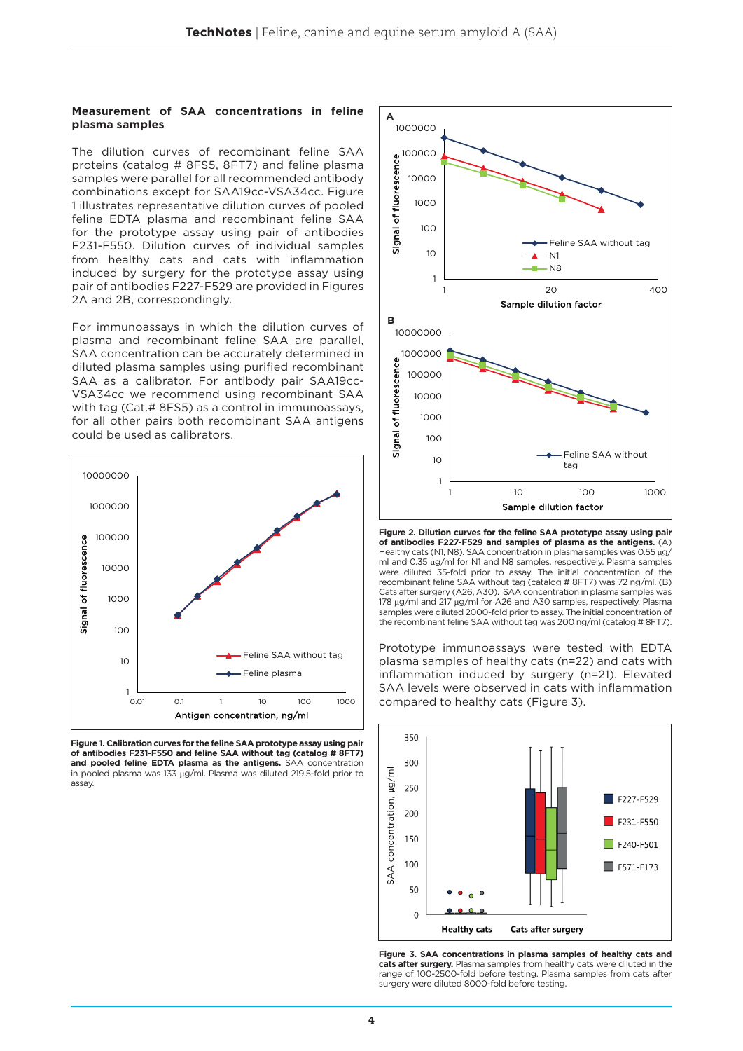#### **Measurement of SAA concentrations in feline plasma samples**

The dilution curves of recombinant feline SAA proteins (catalog # 8FS5, 8FT7) and feline plasma samples were parallel for all recommended antibody combinations except for SAA19cc-VSA34cc. Figure 1 illustrates representative dilution curves of pooled feline EDTA plasma and recombinant feline SAA for the prototype assay using pair of antibodies F231-F550. Dilution curves of individual samples from healthy cats and cats with inflammation induced by surgery for the prototype assay using pair of antibodies F227-F529 are provided in Figures 2A and 2B, correspondingly.

For immunoassays in which the dilution curves of plasma and recombinant feline SAA are parallel, SAA concentration can be accurately determined in diluted plasma samples using purified recombinant SAA as a calibrator. For antibody pair SAA19cc-VSA34cc we recommend using recombinant SAA with tag (Cat.# 8FS5) as a control in immunoassays, for all other pairs both recombinant SAA antigens could be used as calibrators.



**Figure 1. Calibration curves for the feline SAA prototype assay using pair of antibodies F231-F550 and feline SAA without tag (catalog # 8FT7) and pooled feline EDTA plasma as the antigens.** SAA concentration in pooled plasma was 133 µg/ml. Plasma was diluted 219.5-fold prior to assay.



**Figure 2. Dilution curves for the feline SAA prototype assay using pair of antibodies F227-F529 and samples of plasma as the antigens.** (A) Healthy cats (N1, N8). SAA concentration in plasma samples was 0.55 µg/ ml and 0.35 µg/ml for N1 and N8 samples, respectively. Plasma samples were diluted 35-fold prior to assay. The initial concentration of the recombinant feline SAA without tag (catalog # 8FT7) was 72 ng/ml. (B) Cats after surgery (A26, A30). SAA concentration in plasma samples was 178 µg/ml and 217 µg/ml for A26 and A30 samples, respectively. Plasma samples were diluted 2000-fold prior to assay. The initial concentration of the recombinant feline SAA without tag was 200 ng/ml (catalog # 8FT7).

Prototype immunoassays were tested with EDTA plasma samples of healthy cats (n=22) and cats with inflammation induced by surgery (n=21). Elevated SAA levels were observed in cats with inflammation compared to healthy cats (Figure 3).



**Figure 3. SAA concentrations in plasma samples of healthy cats and cats after surgery.** Plasma samples from healthy cats were diluted in the range of 100-2500-fold before testing. Plasma samples from cats after surgery were diluted 8000-fold before testing.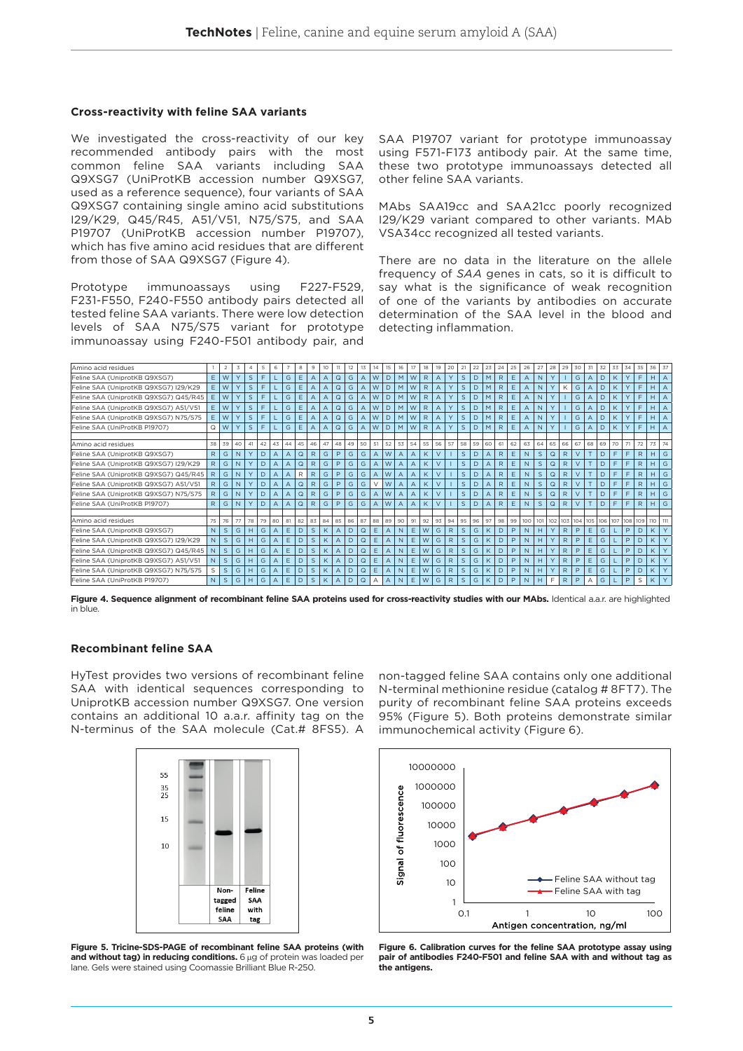#### **Cross-reactivity with feline SAA variants**

We investigated the cross-reactivity of our key recommended antibody pairs with the most common feline SAA variants including SAA Q9XSG7 (UniProtKB accession number Q9XSG7, used as a reference sequence), four variants of SAA Q9XSG7 containing single amino acid substitutions I29/K29, Q45/R45, A51/V51, N75/S75, and SAA P19707 (UniProtKB accession number P19707), which has five amino acid residues that are different from those of SAA Q9XSG7 (Figure 4).

Prototype immunoassays using F227-F529, F231-F550, F240-F550 antibody pairs detected all tested feline SAA variants. There were low detection levels of SAA N75/S75 variant for prototype immunoassay using F240-F501 antibody pair, and

SAA P19707 variant for prototype immunoassay using F571-F173 antibody pair. At the same time, these two prototype immunoassays detected all other feline SAA variants.

MAbs SAA19cc and SAA21cc poorly recognized I29/K29 variant compared to other variants. MAb VSA34cc recognized all tested variants.

There are no data in the literature on the allele frequency of *SAA* genes in cats, so it is difficult to say what is the significance of weak recognition of one of the variants by antibodies on accurate determination of the SAA level in the blood and detecting inflammation.

| Amino acid residues                   |              | $\overline{2}$ | 3            | $\overline{4}$ | 5  | 6              |     | 8            | 9            | 10             |                | 12 | 13             | 14 | 15             | 16      | 17             | 18           | 19             | 20           | 21           | 22 | 23             | 24           | 25 | 26           | 27           | 28          | 29              | 30     | 31             | 32      | 33 | 34      | 35           | 36  | 37 |
|---------------------------------------|--------------|----------------|--------------|----------------|----|----------------|-----|--------------|--------------|----------------|----------------|----|----------------|----|----------------|---------|----------------|--------------|----------------|--------------|--------------|----|----------------|--------------|----|--------------|--------------|-------------|-----------------|--------|----------------|---------|----|---------|--------------|-----|----|
| Feline SAA (UniprotKB Q9XSG7)         | E            | W              | Y            | $\mathsf{S}$   | E  |                | G   | E            | A            | $\overline{A}$ | Q              | G  | $\overline{A}$ | W  | D              | M       | W              | $\mathsf{R}$ | $\overline{A}$ | Y            | $\mathsf S$  | D  | M              | $\mathsf{R}$ | E. | A            | N            |             |                 | G      | A              | D       | K  |         | F            | H   |    |
| Feline SAA (UniprotKB Q9XSG7) I29/K29 | E            | W              | Y            | $\mathsf{S}$   | E  |                | G   | E            | А            | $\overline{A}$ | $\mathsf Q$    | G  | A              | W  | D.             | M       | l w            | R            | $\overline{A}$ | Y            | S            | D  | M              | $\mathsf{R}$ | E  | A            | N            | Y           | K               | G      | A              | D       | K  |         | F            | H   |    |
| Feline SAA (UniprotKB Q9XSG7) Q45/R45 | E            | W              | Y            | $\mathsf{S}$   | F  |                | G   | E            | A            | $\overline{A}$ | $\mathsf Q$    | G  | $\overline{A}$ | W  | D              | M       | W              | R            | $\overline{A}$ | Y            | S            | D  | M              | $\mathsf{R}$ | E  | A            | N            |             |                 | G      | $\overline{A}$ | D       | K  |         | F            | H   |    |
| Feline SAA (UniprotKB Q9XSG7) A51/V51 | E            | W              | Y            | S              | E  |                | G   | Ε            | A            | A              | Q              | G  | $\overline{A}$ | W  | D              | M       | W              | R            | $\overline{A}$ | Y            | $\mathsf S$  | D  | M              | R            | Ε  | Α            | N            |             |                 | G      |                | D       | Κ  |         | F            | H   |    |
| Feline SAA (UniprotKB Q9XSG7) N75/S75 | E            | W              | Y            | S              | F  |                | G   | E            | A            | $\overline{A}$ | Q              | G  | $\overline{A}$ | W  | D              | M       | l w            | R            | $\overline{A}$ | Y            | $\mathsf S$  | D  | M              | $\mathsf{R}$ | E  | A            | N            |             |                 | G      | $\mathsf{A}$   | D       | K  |         | F            | H   |    |
| Feline SAA (UniProtKB P19707)         | Q            | W              | Y            | $\mathsf{S}$   | F. |                | G   | E            |              | $\overline{A}$ | $\Omega$       | G  | $\overline{A}$ | W  | D              | M       | l w            | $\mathsf{R}$ | $\Delta$       | $\vee$       | $\mathsf{S}$ | D  | M              | R            | E  | A            | N            | Y           |                 | G      | $\overline{A}$ | D       |    |         | F            | H   |    |
| Amino acid residues                   | 38           | 39             | 40           | 41             | 42 | 43             | 44  | 45           | 46           | 47             | 48             | 49 | 50             | 51 | 52             | 53   54 |                | 55           | 56             | 57           | 58           | 59 | 60             | 61           | 62 | 63           | 64           | 65          | 66              | 67     | 68             | 69      | 70 | 71      | 72           | 73  |    |
| Feline SAA (UniprotKB Q9XSG7)         | $\mathsf{R}$ | G              | N            | $\vee$         | D  | $\Delta$       |     | $\mathsf Q$  | R            | G              | P              | G  | G              | A  | W              | A       | A              | K            | $\vee$         |              | S            | D  |                | $\mathsf{R}$ | E  | $\mathbb{N}$ | $\mathsf{S}$ | $\Omega$    | $\mathsf{R}$    |        | $\top$         | D       | F  | F.      | $\mathsf{R}$ | H   | G  |
| Feline SAA (UniprotKB Q9XSG7) I29/K29 | R.           | G              | $\mathsf{N}$ | Y              | D  | $\overline{A}$ | Α   | $\mathsf Q$  | R            | G              | P              | G  | G              | A  | W              | A       | $\overline{A}$ | K            | $\vee$         |              | S            | D  | $\overline{A}$ | $\mathsf{R}$ | E  | N            | $\mathsf S$  | $\mathsf Q$ | $\mathsf{R}$    | $\vee$ | T              | D       | F  | F       | $\mathsf{R}$ | H   | G  |
| Feline SAA (UniprotKB Q9XSG7) Q45/R45 | $\mathsf{R}$ | G              | N            |                | D  | $\overline{A}$ | А   | $\mathsf{R}$ | R            | G              | P              | G  | G              | A  | W              | A       | $\overline{A}$ | K            | $\vee$         |              | $\mathsf S$  | D  | A              | $\mathsf{R}$ | E  | N            | $\mathsf{S}$ | Q           | $\mathsf{R}$    |        |                | D       |    | F       | $\mathsf{R}$ | H   | G  |
| Feline SAA (UniprotKB Q9XSG7) A51/V51 | $\mathsf{R}$ | G              | N            | Y              | D  | $\overline{A}$ | A   | $\mathsf Q$  | R            | G              | P              | G  | G              | V  | W              | A       | A              | K            | $\vee$         |              | S            | D  | $\overline{A}$ | $\mathsf{R}$ | E  | N            | S            | $\mathsf Q$ | $\mathsf{R}$    | $\vee$ | T              | D       | F  | F       | $\mathsf{R}$ | H.  | G  |
| Feline SAA (UniprotKB Q9XSG7) N75/S75 | $\mathsf{R}$ | G              | N            | Y              | D  | $\overline{A}$ | Α   | Q            | R            | G              | P              | G  | G              | A  | W              | А       | $\overline{A}$ | K            | $\vee$         |              | $\mathsf S$  | D  | $\overline{A}$ | $\mathsf{R}$ | E  | N            | S            | $\Omega$    | $\mathsf{R}$    | V      |                | D       | F  | F       | $\mathsf{R}$ | H   | G  |
| Feline SAA (UniProtKB P19707)         | R            | G              | N            |                | D  | $\overline{A}$ | Α   | $\mathsf Q$  | R            | G              | P              | G  | G              | A  | W              | A       | $\overline{A}$ | K            | $\vee$         |              | $\mathsf{S}$ | D  | $\overline{A}$ | R            | E  | N            | $\mathsf{S}$ | $\mathsf Q$ | $\mathsf{R}$    |        |                | D       |    | F       | R            | H.  | G  |
| Amino acid residues                   | 75           | 76             | 77           | 78             | 79 | 80             | 81  | 82           | 83           | 84             | 85             | 86 | 87             | 88 | 89             | 90      | 91             | 92           | 93             | 94           | 95           | 96 | 97             | 98           | 99 | 100          | 101          |             | 102 103 104 105 |        |                | 106 107 |    | 108 109 |              | 110 |    |
| Feline SAA (UniprotKB Q9XSG7)         | $\mathbb{N}$ | $\mathsf{S}$   | G            | H              | G  | $\overline{A}$ | E   | D            | $\mathsf{S}$ | K              | $\overline{A}$ | D  | $\mathsf Q$    | E  | $\overline{A}$ | N       | Ε              | W            | G              | R            | S            | G  | K              | D            | P  | N            | H            | Y           | $\mathsf{R}$    | P      | E              | G       |    | P       | D            | K   |    |
| Feline SAA (UniprotKB Q9XSG7) I29/K29 | $\mathsf{N}$ | S              | G            | H              | G  | $\overline{A}$ | E   | D            | $\mathsf{S}$ | K              | $\overline{A}$ | D  | $\mathsf Q$    | E. | A              | N       | E              | W            | G              | $\mathsf{R}$ | S            | G  | K              | D            | P  | N            | H            |             | $\mathsf{R}$    | P      | E              | G       |    | P       | D            | K   |    |
| Feline SAA (UniprotKB Q9XSG7) Q45/R45 | N.           | $\mathsf{S}$   | G            | H              | G  | $\mathsf{A}$   | E.  | D            | S            | K              | $\Delta$       | D  | Q              | E. | $\mathsf{A}$   | N       | E              | W            | G              | R.           | S            | G  | K              | D            | P  | N            | H            |             | R               | P      | E              | G       |    | P       | D            |     |    |
| Feline SAA (UniprotKB Q9XSG7) A51/V51 | N            | $\mathsf{S}$   | G            | H              | G  | $\overline{A}$ | Ε   | D            | S            | K              | $\overline{A}$ | D  | $\mathsf Q$    | E. | A              | N       | E              | W            | G              | $\mathsf{R}$ | $\mathsf{S}$ | G  | K              | D            | P  | N            | H            | Y           | $\mathsf{R}$    | P      | E              | G       |    | P       | D            | K   |    |
| Feline SAA (UniprotKB Q9XSG7) N75/S75 | S            | S              | G            | H              | G  | $\Delta$       | E.  | D            | S            | K              | $\Delta$       | D  | $\mathsf Q$    | E. | A              | N       | E              | W            | G              | $\mathsf{R}$ | $\mathsf{S}$ | G  | K              | D            | P  | N            | H            |             | R               | P      | E              | G       |    | P       | D            | K   |    |
| Feline SAA (UniProtKB P19707)         | $\mathsf{N}$ | $\mathsf{S}$   | G            | H              | G  |                | E I | D            |              |                |                | D  | $\Omega$       |    |                | N       | E              | W            | G              | R.           | <sub>S</sub> | G  |                | D            | P  | N            |              |             | R               | P      |                | G       |    | P       | S            |     |    |

Figure 4. Sequence alignment of recombinant feline SAA proteins used for cross-reactivity studies with our MAbs. Identical a.a.r. are highlighted in blue.

## **Recombinant feline SAA**

HyTest provides two versions of recombinant feline SAA with identical sequences corresponding to UniprotKB accession number Q9XSG7. One version contains an additional 10 a.a.r. affinity tag on the N-terminus of the SAA molecule (Cat.# 8FS5). A



**Figure 5. Tricine-SDS-PAGE of recombinant feline SAA proteins (with and without tag) in reducing conditions.** 6 μg of protein was loaded per lane. Gels were stained using Coomassie Brilliant Blue R-250.

non-tagged feline SAA contains only one additional N-terminal methionine residue (catalog # 8FT7). The purity of recombinant feline SAA proteins exceeds 95% (Figure 5). Both proteins demonstrate similar immunochemical activity (Figure 6).



**Figure 6. Calibration curves for the feline SAA prototype assay using pair of antibodies F240-F501 and feline SAA with and without tag as the antigens.**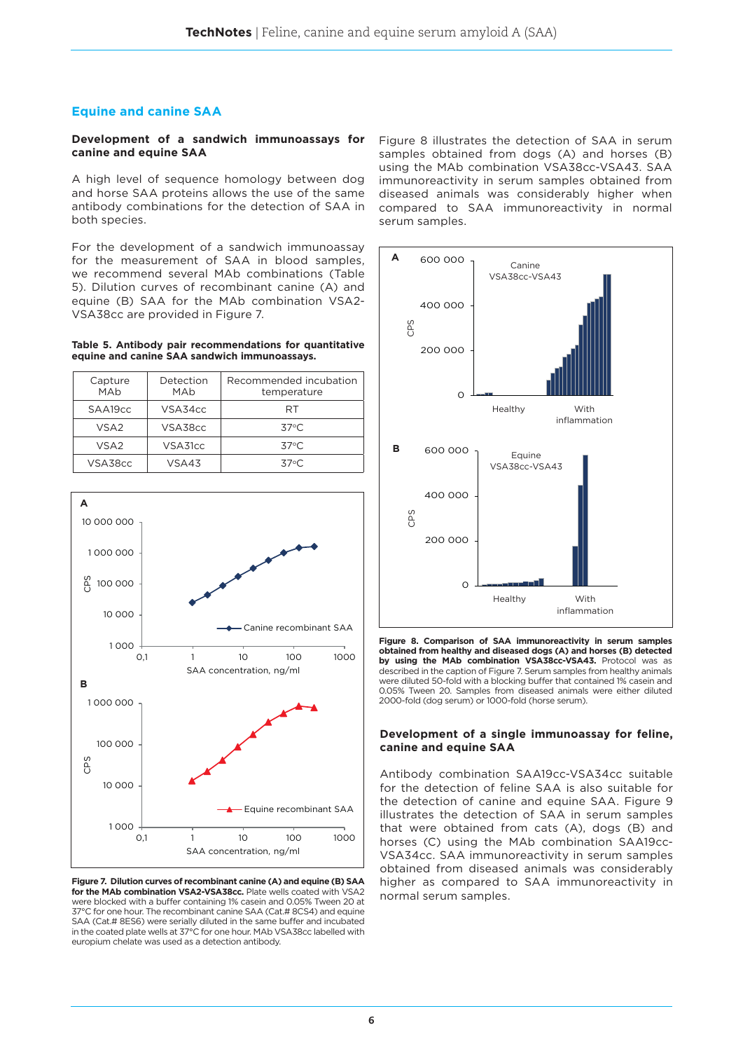# **Equine and canine SAA**

#### **Development of a sandwich immunoassays for canine and equine SAA**

A high level of sequence homology between dog and horse SAA proteins allows the use of the same antibody combinations for the detection of SAA in both species.

For the development of a sandwich immunoassay for the measurement of SAA in blood samples, we recommend several MAb combinations (Table 5). Dilution curves of recombinant canine (A) and equine (B) SAA for the MAb combination VSA2- VSA38cc are provided in Figure 7.

#### **Table 5. Antibody pair recommendations for quantitative equine and canine SAA sandwich immunoassays.**

| Capture<br>MAh   | Detection<br>MAb | Recommended incubation<br>temperature |  |  |  |  |  |
|------------------|------------------|---------------------------------------|--|--|--|--|--|
| SAA19cc          | VSA34cc          | RT                                    |  |  |  |  |  |
| VSA <sub>2</sub> | VSA38cc          | $37^{\circ}$ C                        |  |  |  |  |  |
| VSA <sub>2</sub> | VSA31cc          | $37^{\circ}$ C                        |  |  |  |  |  |
| VSA38cc          | VSA43            | $37^{\circ}$ C.                       |  |  |  |  |  |



**Figure 7. Dilution curves of recombinant canine (A) and equine (B) SAA for the MAb combination VSA2-VSA38cc.** Plate wells coated with VSA2 were blocked with a buffer containing 1% casein and 0.05% Tween 20 at 37°C for one hour. The recombinant canine SAA (Cat.# 8CS4) and equine SAA (Cat.# 8ES6) were serially diluted in the same buffer and incubated in the coated plate wells at 37°C for one hour. MAb VSA38cc labelled with europium chelate was used as a detection antibody.

Figure 8 illustrates the detection of SAA in serum samples obtained from dogs (A) and horses (B) using the MAb combination VSA38cc-VSA43. SAA immunoreactivity in serum samples obtained from diseased animals was considerably higher when compared to SAA immunoreactivity in normal serum samples.



**Figure 8. Comparison of SAA immunoreactivity in serum samples obtained from healthy and diseased dogs (A) and horses (B) detected by using the MAb combination VSA38cc-VSA43.** Protocol was as described in the caption of Figure 7. Serum samples from healthy animals were diluted 50-fold with a blocking buffer that contained 1% casein and 0.05% Tween 20. Samples from diseased animals were either diluted 2000-fold (dog serum) or 1000-fold (horse serum).

#### **Development of a single immunoassay for feline, canine and equine SAA**

Antibody combination SAA19cc-VSA34cc suitable for the detection of feline SAA is also suitable for the detection of canine and equine SAA. Figure 9 illustrates the detection of SAA in serum samples that were obtained from cats (A), dogs (B) and horses (C) using the MAb combination SAA19cc-VSA34cc. SAA immunoreactivity in serum samples obtained from diseased animals was considerably higher as compared to SAA immunoreactivity in normal serum samples.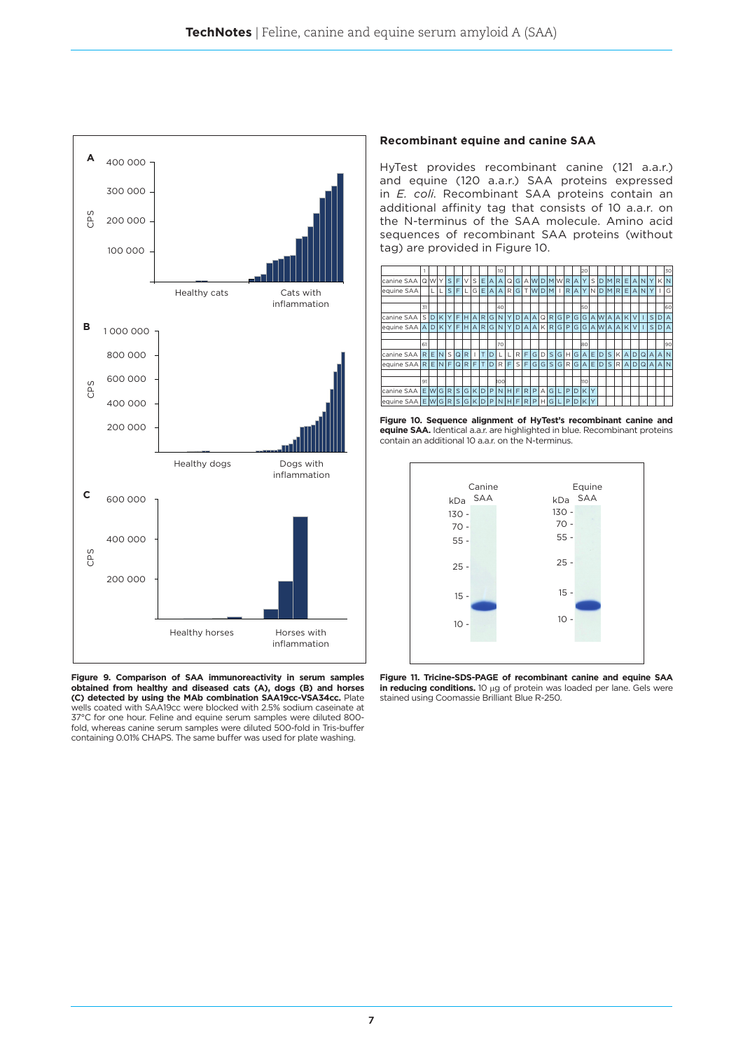

**Figure 9. Comparison of SAA immunoreactivity in serum samples obtained from healthy and diseased cats (A), dogs (B) and horses (C) detected by using the MAb combination SAA19cc-VSA34cc.** Plate wells coated with SAA19cc were blocked with 2.5% sodium caseinate at 37°C for one hour. Feline and equine serum samples were diluted 800 fold, whereas canine serum samples were diluted 500-fold in Tris-buffer containing 0.01% CHAPS. The same buffer was used for plate washing.

#### **Recombinant equine and canine SAA**

HyTest provides recombinant canine (121 a.a.r.) and equine (120 a.a.r.) SAA proteins expressed in *E. coli*. Recombinant SAA proteins contain an additional affinity tag that consists of 10 a.a.r. on the N-terminus of the SAA molecule. Amino acid sequences of recombinant SAA proteins (without tag) are provided in Figure 10.



**Figure 10. Sequence alignment of HyTest's recombinant canine and equine SAA.** Identical a.a.r. are highlighted in blue. Recombinant proteins contain an additional 10 a.a.r. on the N-terminus.



**Figure 11. Tricine-SDS-PAGE of recombinant canine and equine SAA in reducing conditions.** 10 μg of protein was loaded per lane. Gels were stained using Coomassie Brilliant Blue R-250.